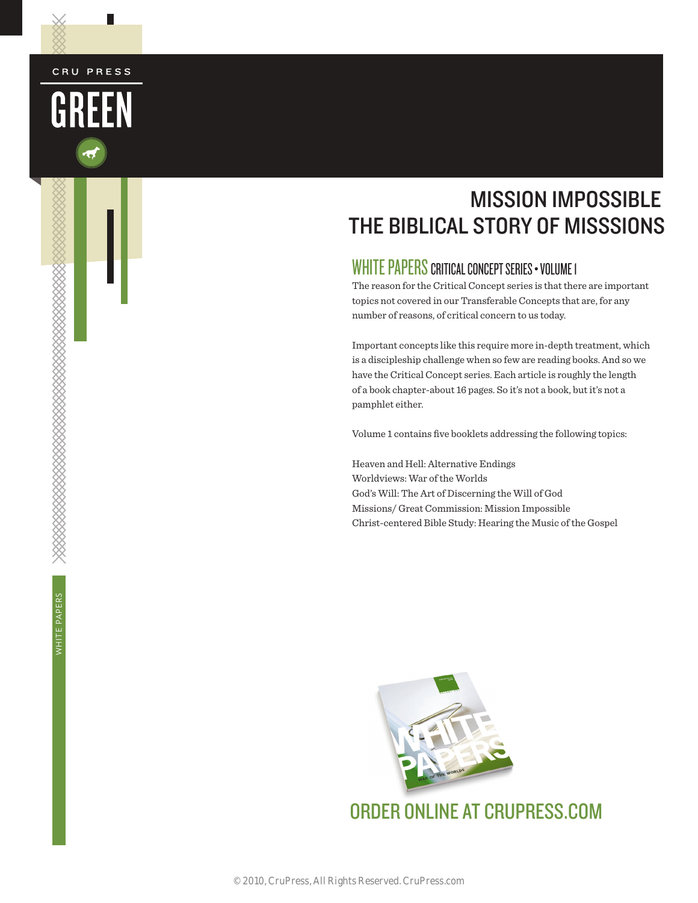#### CRU PRESS

L



## MISSION IMPOSSIBLE THE BIBLICAL STORY OF MISSSIONS

#### WHITE PAPERS CRITICAL CONCEPT SERIES • VOLUME 1

The reason for the Critical Concept series is that there are important topics not covered in our Transferable Concepts that are, for any number of reasons, of critical concern to us today.

Important concepts like this require more in-depth treatment, which is a discipleship challenge when so few are reading books. And so we have the Critical Concept series. Each article is roughly the length of a book chapter-about 16 pages. So it's not a book, but it's not a pamphlet either.

Volume 1 contains five booklets addressing the following topics:

Heaven and Hell: Alternative Endings Worldviews: War of the Worlds God's Will: The Art of Discerning the Will of God Missions/ Great Commission: Mission Impossible Christ-centered Bible Study: Hearing the Music of the Gospel

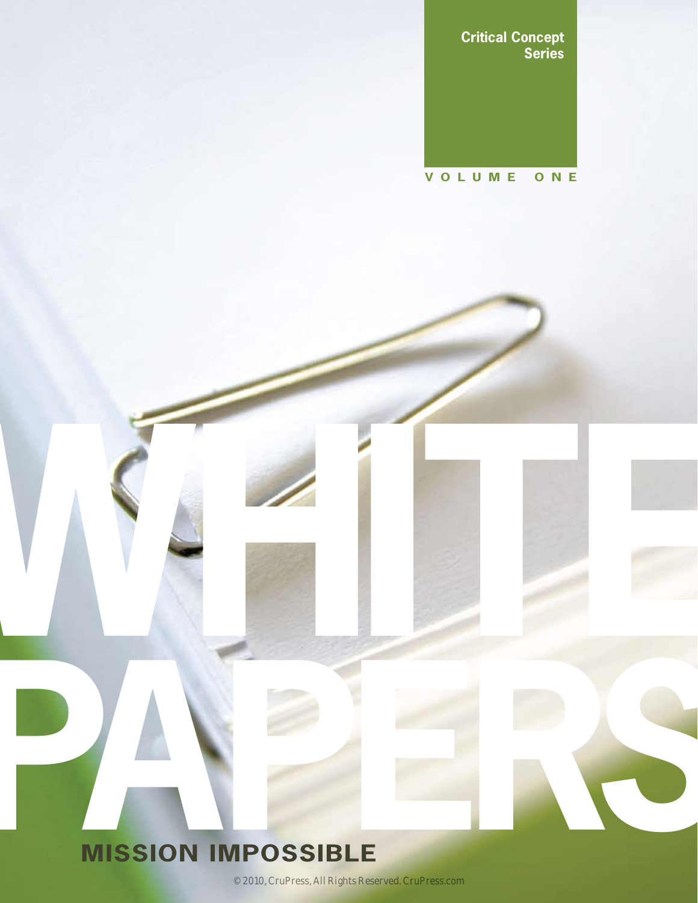**Critical Concept Series**

#### **VOLUME ONE**

# **PARTICIPAL CONSIDERED AND RESIDENT INCORPORATION IMPOSSIBLE MISSION IMPOSSIBLE**

© 2010, CruPress, All Rights Reserved. CruPress.com

WHITE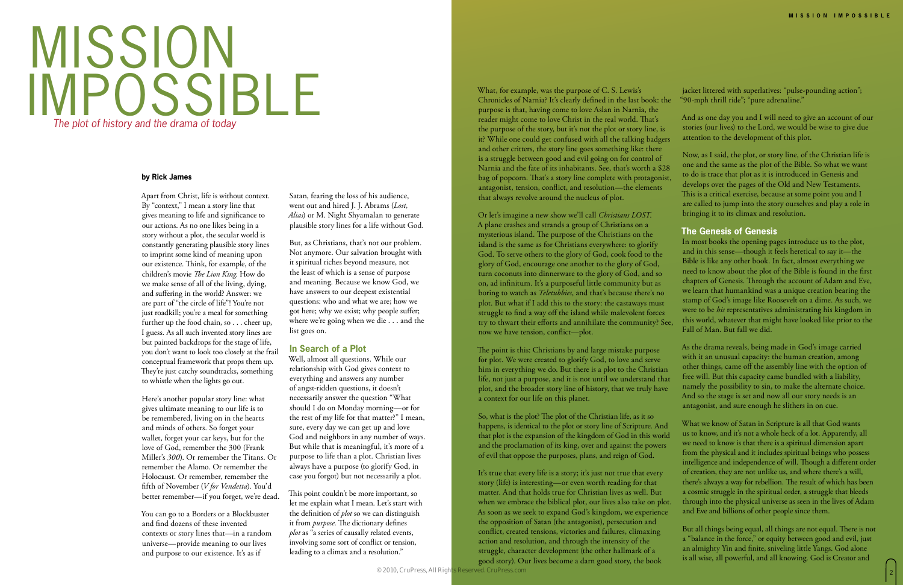# MISSION IMPOSSIBLE *The plot of history and the drama of today*

#### **by Rick James**

Satan, fearing the loss of his audience, went out and hired J. J. Abrams (*Lost, Alias*) or M. Night Shyamalan to generate plausible story lines for a life without God.

But, as Christians, that's not our problem. Not anymore. Our salvation brought with it spiritual riches beyond measure, not the least of which is a sense of purpose and meaning. Because we know God, we have answers to our deepest existential questions: who and what we are; how we got here; why we exist; why people suffer; where we're going when we die . . . and the list goes on.

#### **In Search of a Plot**

Well, almost all questions. While our relationship with God gives context to everything and answers any number of angst-ridden questions, it doesn't necessarily answer the question "What should I do on Monday morning—or for the rest of my life for that matter?" I mean, sure, every day we can get up and love God and neighbors in any number of ways. But while that is meaningful, it's more of a purpose to life than a plot. Christian lives always have a purpose (to glorify God, in case you forgot) but not necessarily a plot.

This point couldn't be more important, so let me explain what I mean. Let's start with the definition of *plot* so we can distinguish it from *purpose*. The dictionary defines *plot* as "a series of causally related events, involving some sort of conflict or tension, leading to a climax and a resolution."

Apart from Christ, life is without context. By "context," I mean a story line that gives meaning to life and significance to our actions. As no one likes being in a story without a plot, the secular world is constantly generating plausible story lines to imprint some kind of meaning upon our existence. Think, for example, of the children's movie *The Lion King*. How do we make sense of all of the living, dying, and suffering in the world? Answer: we are part of "the circle of life"! You're not just roadkill; you're a meal for something further up the food chain, so . . . cheer up, I guess. As all such invented story lines are but painted backdrops for the stage of life, you don't want to look too closely at the frail conceptual framework that props them up. They're just catchy soundtracks, something to whistle when the lights go out.

Here's another popular story line: what gives ultimate meaning to our life is to be remembered, living on in the hearts and minds of others. So forget your wallet, forget your car keys, but for the love of God, remember the 300 (Frank Miller's *300*). Or remember the Titans. Or remember the Alamo. Or remember the Holocaust. Or remember, remember the fifth of November (*V for Vendetta*). You'd better remember—if you forget, we're dead.

You can go to a Borders or a Blockbuster and find dozens of these invented contexts or story lines that—in a random universe—provide meaning to our lives and purpose to our existence. It's as if

Or let's imagine a new show we'll call *Christians LOST*. A plane crashes and strands a group of Christians on a mysterious island. The purpose of the Christians on the island is the same as for Christians everywhere: to glorify God. To serve others to the glory of God, cook food to the glory of God, encourage one another to the glory of God, turn coconuts into dinnerware to the glory of God, and so on, ad infinitum. It's a purposeful little community but as boring to watch as *Teletubbies*, and that's because there's no plot. But what if I add this to the story: the castaways must struggle to find a way off the island while malevolent forces try to thwart their efforts and annihilate the community? See, now we have tension, conflict—plot.

The point is this: Christians by and large mistake purpose for plot. We were created to glorify God, to love and serve him in everything we do. But there is a plot to the Christian life, not just a purpose, and it is not until we understand that plot, and the broader story line of history, that we truly have a context for our life on this planet.

What, for example, was the purpose of C. S. Lewis's Chronicles of Narnia? It's clearly defined in the last book: the purpose is that, having come to love Aslan in Narnia, the reader might come to love Christ in the real world. That's the purpose of the story, but it's not the plot or story line, is it? While one could get confused with all the talking badgers and other critters, the story line goes something like: there is a struggle between good and evil going on for control of Narnia and the fate of its inhabitants. See, that's worth a \$28 bag of popcorn. That's a story line complete with protagonist, antagonist, tension, conflict, and resolution—the elements that always revolve around the nucleus of plot. jacket littered with superlatives: "pulse-pounding action"; "90-mph thrill ride"; "pure adrenaline." And as one day you and I will need to give an account of our stories (our lives) to the Lord, we would be wise to give due attention to the development of this plot. Now, as I said, the plot, or story line, of the Christian life is one and the same as the plot of the Bible. So what we want to do is trace that plot as it is introduced in Genesis and develops over the pages of the Old and New Testaments. This is a critical exercise, because at some point you and I are called to jump into the story ourselves and play a role in bringing it to its climax and resolution.

As soon as we seek to expand God's kingdom, we experience the opposition of Satan (the antagonist), persecution and conflict, created tensions, victories and failures, climaxing action and resolution, and through the intensity of the struggle, character development (the other hallmark of a good story). Our lives become a darn good story, the book

So, what is the plot? The plot of the Christian life, as it so happens, is identical to the plot or story line of Scripture. And that plot is the expansion of the kingdom of God in this world and the proclamation of its king, over and against the powers of evil that oppose the purposes, plans, and reign of God. It's true that every life is a story; it's just not true that every story (life) is interesting—or even worth reading for that matter. And that holds true for Christian lives as well. But when we embrace the biblical plot, our lives also take on plot. What we know of Satan in Scripture is all that God wants us to know, and it's not a whole heck of a lot. Apparently, all we need to know is that there is a spiritual dimension apart from the physical and it includes spiritual beings who possess intelligence and independence of will. Though a different order of creation, they are not unlike us, and where there's a will, there's always a way for rebellion. The result of which has been a cosmic struggle in the spiritual order, a struggle that bleeds through into the physical universe as seen in the lives of Adam and Eve and billions of other people since them.

#### **The Genesis of Genesis**

In most books the opening pages introduce us to the plot, and in this sense—though it feels heretical to say it—the Bible is like any other book. In fact, almost everything we need to know about the plot of the Bible is found in the first chapters of Genesis. Through the account of Adam and Eve, we learn that humankind was a unique creation bearing the stamp of God's image like Roosevelt on a dime. As such, we were to be *his* representatives administrating his kingdom in this world, whatever that might have looked like prior to the Fall of Man. But fall we did.

As the drama reveals, being made in God's image carried with it an unusual capacity: the human creation, among other things, came off the assembly line with the option of free will. But this capacity came bundled with a liability, namely the possibility to sin, to make the alternate choice. And so the stage is set and now all our story needs is an antagonist, and sure enough he slithers in on cue.

But all things being equal, all things are not equal. There is not a "balance in the force," or equity between good and evil, just an almighty Yin and finite, sniveling little Yangs. God alone is all wise, all powerful, and all knowing. God is Creator and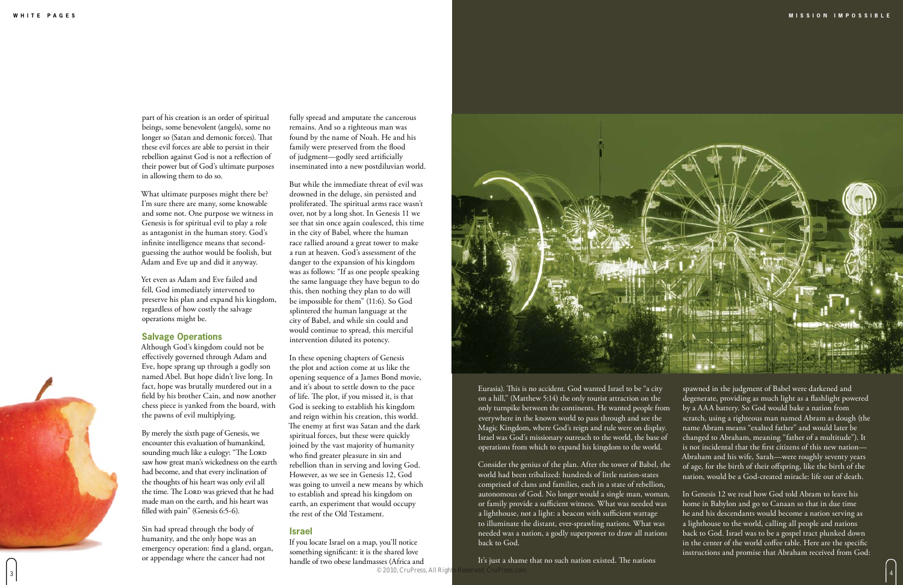fully spread and amputate the cancerous remains. And so a righteous man was found by the name of Noah. He and his family were preserved from the flood of judgment—godly seed artificially inseminated into a new postdiluvian world.

But while the immediate threat of evil was drowned in the deluge, sin persisted and proliferated. The spiritual arms race wasn't over, not by a long shot. In Genesis 11 we see that sin once again coalesced, this time in the city of Babel, where the human race rallied around a great tower to make a run at heaven. God's assessment of the danger to the expansion of his kingdom was as follows: "If as one people speaking the same language they have begun to do this, then nothing they plan to do will be impossible for them" (11:6). So God splintered the human language at the city of Babel, and while sin could and would continue to spread, this merciful intervention diluted its potency.

If you locate Israel on a map, you'll notice something significant: it is the shared love handle of two obese landmasses (Africa and © 2010, CruPress. All Right



In these opening chapters of Genesis the plot and action come at us like the opening sequence of a James Bond movie, and it's about to settle down to the pace of life. The plot, if you missed it, is that God is seeking to establish his kingdom and reign within his creation, this world. The enemy at first was Satan and the dark spiritual forces, but these were quickly joined by the vast majority of humanity who find greater pleasure in sin and rebellion than in serving and loving God. However, as we see in Genesis 12, God was going to unveil a new means by which to establish and spread his kingdom on earth, an experiment that would occupy the rest of the Old Testament.

#### **Israel**

part of his creation is an order of spiritual beings, some benevolent (angels), some no longer so (Satan and demonic forces). That these evil forces are able to persist in their rebellion against God is not a reflection of their power but of God's ultimate purposes in allowing them to do so.

It's just a shame that no such nation existed. The nations  $\approx$  2010, CHILLESS, ATLANTICSS, ATLANTICSS, CONTROL CONTROL CONTROL CONTROL CONTROL CONTROL CONTROL CONTROL CONTROL CONTROL CONTROL CONTROL CONTROL CONTROL CONTROL CONTROL CONTROL CONTROL CONTROL CONTROL CONTROL CONTROL



What ultimate purposes might there be? I'm sure there are many, some knowable and some not. One purpose we witness in Genesis is for spiritual evil to play a role as antagonist in the human story. God's infinite intelligence means that secondguessing the author would be foolish, but Adam and Eve up and did it anyway.

Yet even as Adam and Eve failed and fell, God immediately intervened to preserve his plan and expand his kingdom, regardless of how costly the salvage operations might be.

#### **Salvage Operations**

Although God's kingdom could not be effectively governed through Adam and Eve, hope sprang up through a godly son named Abel. But hope didn't live long. In fact, hope was brutally murdered out in a field by his brother Cain, and now another chess piece is yanked from the board, with the pawns of evil multiplying.

By merely the sixth page of Genesis, we encounter this evaluation of humankind, sounding much like a eulogy: "The LORD saw how great man's wickedness on the earth had become, and that every inclination of the thoughts of his heart was only evil all the time. The LORD was grieved that he had made man on the earth, and his heart was filled with pain" (Genesis 6:5-6).

Sin had spread through the body of humanity, and the only hope was an emergency operation: find a gland, organ, or appendage where the cancer had not

Eurasia). This is no accident. God wanted Israel to be "a city on a hill," (Matthew 5:14) the only tourist attraction on the only turnpike between the continents. He wanted people from everywhere in the known world to pass through and see the Magic Kingdom, where God's reign and rule were on display. Israel was God's missionary outreach to the world, the base of operations from which to expand his kingdom to the world.

Consider the genius of the plan. After the tower of Babel, the world had been tribalized: hundreds of little nation-states comprised of clans and families, each in a state of rebellion, autonomous of God. No longer would a single man, woman, or family provide a sufficient witness. What was needed was a lighthouse, not a light: a beacon with sufficient wattage to illuminate the distant, ever-sprawling nations. What was needed was a nation, a godly superpower to draw all nations back to God. of age, for the birth of their offspring, like the birth of the nation, would be a God-created miracle: life out of death. In Genesis 12 we read how God told Abram to leave his home in Babylon and go to Canaan so that in due time he and his descendants would become a nation serving as a lighthouse to the world, calling all people and nations back to God. Israel was to be a gospel tract plunked down in the center of the world coffee table. Here are the specific instructions and promise that Abraham received from God:

spawned in the judgment of Babel were darkened and degenerate, providing as much light as a flashlight powered by a AAA battery. So God would bake a nation from scratch, using a righteous man named Abram as dough (the name Abram means "exalted father" and would later be changed to Abraham, meaning "father of a multitude"). It is not incidental that the first citizens of this new nation— Abraham and his wife, Sarah—were roughly seventy years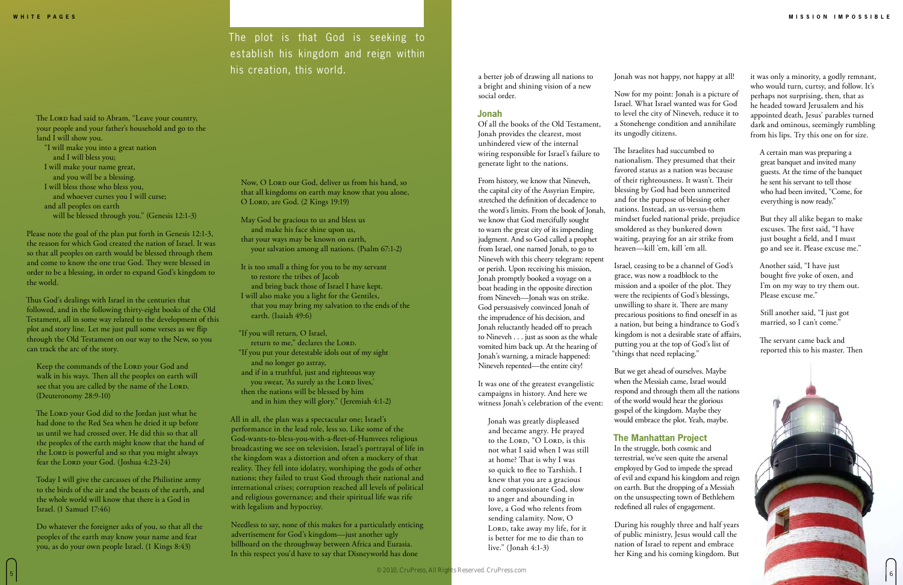May God be gracious to us and bless us and make his face shine upon us, that your ways may be known on earth, your salvation among all nations. (Psalm 67:1-2)

It is too small a thing for you to be my servant to restore the tribes of Jacob and bring back those of Israel I have kept. I will also make you a light for the Gentiles, that you may bring my salvation to the ends of the earth. (Isaiah 49:6)

"If you will return, O Israel, return to me," declares the LORD. "If you put your detestable idols out of my sight and no longer go astray, and if in a truthful, just and righteous way you swear, 'As surely as the LORD lives,' then the nations will be blessed by him and in him they will glory." (Jeremiah 4:1-2)

The Lorp had said to Abram, "Leave your country, your people and your father's household and go to the land I will show you.

> All in all, the plan was a spectacular one; Israel's performance in the lead role, less so. Like some of the God-wants-to-bless-you-with-a-fleet-of-Humvees religious broadcasting we see on television, Israel's portrayal of life in the kingdom was a distortion and often a mockery of that reality. They fell into idolatry, worshiping the gods of other nations; they failed to trust God through their national and international crises; corruption reached all levels of political and religious governance; and their spiritual life was rife with legalism and hypocrisy.

Keep the commands of the LORD your God and walk in his ways. Then all the peoples on earth will see that you are called by the name of the LORD. (Deuteronomy 28:9-10)

The LORD your God did to the Jordan just what he had done to the Red Sea when he dried it up before us until we had crossed over. He did this so that all the peoples of the earth might know that the hand of the LORD is powerful and so that you might always fear the Lord your God. (Joshua 4:23-24)

> Needless to say, none of this makes for a particularly enticing advertisement for God's kingdom—just another ugly billboard on the throughway between Africa and Eurasia. In this respect you'd have to say that Disneyworld has done

"I will make you into a great nation and I will bless you; I will make your name great, and you will be a blessing. I will bless those who bless you, and whoever curses you I will curse; and all peoples on earth will be blessed through you." (Genesis 12:1-3)

Please note the goal of the plan put forth in Genesis 12:1-3, the reason for which God created the nation of Israel. It was so that all peoples on earth would be blessed through them and come to know the one true God. They were blessed in order to be a blessing, in order to expand God's kingdom to the world.

Thus God's dealings with Israel in the centuries that followed, and in the following thirty-eight books of the Old Testament, all in some way related to the development of this plot and story line. Let me just pull some verses as we flip through the Old Testament on our way to the New, so you can track the arc of the story.

Today I will give the carcasses of the Philistine army to the birds of the air and the beasts of the earth, and the whole world will know that there is a God in Israel. (1 Samuel 17:46)

Do whatever the foreigner asks of you, so that all the peoples of the earth may know your name and fear you, as do your own people Israel. (1 Kings 8:43)

Now, O Lorp our God, deliver us from his hand, so that all kingdoms on earth may know that you alone, O Lord, are God. (2 Kings 19:19)

a better job of drawing all nations to a bright and shining vision of a new social order.

#### **Jonah**

Of all the books of the Old Testament, Jonah provides the clearest, most unhindered view of the internal wiring responsible for Israel's failure to generate light to the nations.

From history, we know that Nineveh, the capital city of the Assyrian Empire, stretched the definition of decadence to the word's limits. From the book of Jonah, we know that God mercifully sought to warn the great city of its impending judgment. And so God called a prophet from Israel, one named Jonah, to go to Nineveh with this cheery telegram: repent or perish. Upon receiving his mission, Jonah promptly booked a voyage on a boat heading in the opposite direction from Nineveh—Jonah was on strike. God persuasively convinced Jonah of the imprudence of his decision, and Jonah reluctantly headed off to preach to Nineveh . . . just as soon as the whale vomited him back up. At the hearing of Jonah's warning, a miracle happened: Nineveh repented—the entire city!

It was one of the greatest evangelistic campaigns in history. And here we witness Jonah's celebration of the event:

Jonah was greatly displeased and became angry. He prayed to the LORD, "O LORD, is this not what I said when I was still at home? That is why I was so quick to flee to Tarshish. I knew that you are a gracious and compassionate God, slow to anger and abounding in love, a God who relents from sending calamity. Now, O LORD, take away my life, for it is better for me to die than to live." (Jonah 4:1-3)

Jonah was not happy, not happy at all!

Now for my point: Jonah is a picture of Israel. What Israel wanted was for God to level the city of Nineveh, reduce it to a Stonehenge condition and annihilate its ungodly citizens.

The Israelites had succumbed to nationalism. They presumed that their favored status as a nation was because of their righteousness. It wasn't. Their blessing by God had been unmerited and for the purpose of blessing other nations. Instead, an us-versus-them mindset fueled national pride, prejudice smoldered as they bunkered down waiting, praying for an air strike from heaven—kill 'em, kill 'em all.

Israel, ceasing to be a channel of God's grace, was now a roadblock to the mission and a spoiler of the plot. They were the recipients of God's blessings, unwilling to share it. There are many precarious positions to find oneself in as a nation, but being a hindrance to God's kingdom is not a desirable state of affairs, putting you at the top of God's list of "things that need replacing."

But we get ahead of ourselves. Maybe when the Messiah came, Israel would respond and through them all the nations of the world would hear the glorious gospel of the kingdom. Maybe they would embrace the plot. Yeah, maybe.

#### **The Manhattan Project**

In the struggle, both cosmic and terrestrial, we've seen quite the arsenal employed by God to impede the spread of evil and expand his kingdom and reign on earth. But the dropping of a Messiah on the unsuspecting town of Bethlehem redefined all rules of engagement.

During his roughly three and half years of public ministry, Jesus would call the nation of Israel to repent and embrace her King and his coming kingdom. But it was only a minority, a godly remnant, who would turn, curtsy, and follow. It's perhaps not surprising, then, that as he headed toward Jerusalem and his appointed death, Jesus' parables turned dark and ominous, seemingly rumbling from his lips. Try this one on for size.

A certain man was preparing a great banquet and invited many guests. At the time of the banquet he sent his servant to tell those who had been invited, "Come, for everything is now ready."

But they all alike began to make excuses. The first said, "I have just bought a field, and I must go and see it. Please excuse me."

Another said, "I have just bought five yoke of oxen, and I'm on my way to try them out. Please excuse me."

Still another said, "I just got married, so I can't come."

The servant came back and reported this to his master. Then

The plot is that God is seeking to establish his kingdom and reign within his creation, this world.

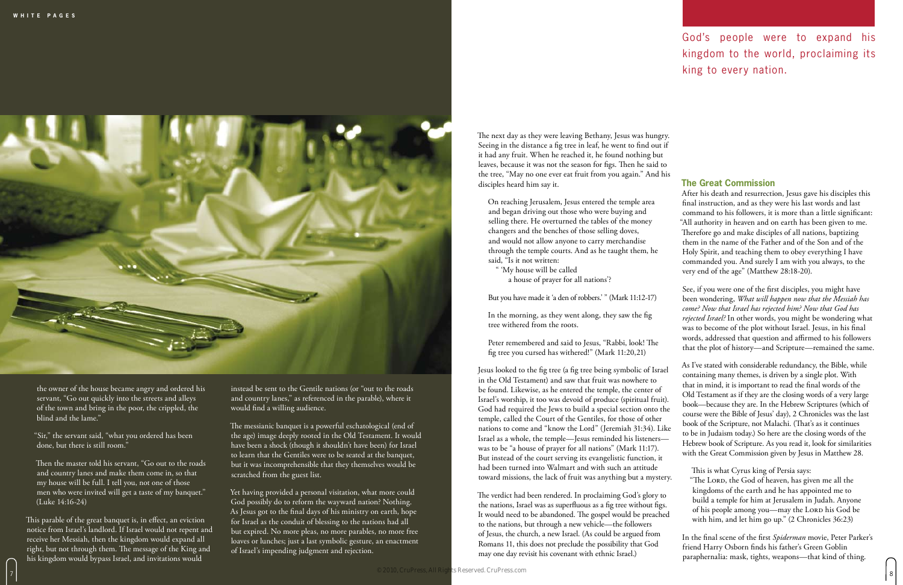

instead be sent to the Gentile nations (or "out to the roads and country lanes," as referenced in the parable), where it would find a willing audience.

The messianic banquet is a powerful eschatological (end of the age) image deeply rooted in the Old Testament. It would have been a shock (though it shouldn't have been) for Israel to learn that the Gentiles were to be seated at the banquet, but it was incomprehensible that they themselves would be scratched from the guest list.

Yet having provided a personal visitation, what more could God possibly do to reform the wayward nation? Nothing. As Jesus got to the final days of his ministry on earth, hope for Israel as the conduit of blessing to the nations had all but expired. No more pleas, no more parables, no more free loaves or lunches; just a last symbolic gesture, an enactment of Israel's impending judgment and rejection.

the owner of the house became angry and ordered his servant, "Go out quickly into the streets and alleys of the town and bring in the poor, the crippled, the blind and the lame."

"Sir," the servant said, "what you ordered has been done, but there is still room."

Then the master told his servant, "Go out to the roads and country lanes and make them come in, so that my house will be full. I tell you, not one of those men who were invited will get a taste of my banquet." (Luke 14:16-24)

This parable of the great banquet is, in effect, an eviction notice from Israel's landlord. If Israel would not repent and receive her Messiah, then the kingdom would expand all right, but not through them. The message of the King and his kingdom would bypass Israel, and invitations would

The next day as they were leaving Bethany, Jesus was hungry. Seeing in the distance a fig tree in leaf, he went to find out if it had any fruit. When he reached it, he found nothing but leaves, because it was not the season for figs. Then he said to the tree, "May no one ever eat fruit from you again." And his disciples heard him say it.

On reaching Jerusalem, Jesus entered the temple area and began driving out those who were buying and selling there. He overturned the tables of the money changers and the benches of those selling doves, and would not allow anyone to carry merchandise through the temple courts. And as he taught them, he said, "Is it not written:

" 'My house will be called a house of prayer for all nations'?

But you have made it 'a den of robbers.' " (Mark 11:12-17)

In the morning, as they went along, they saw the fig tree withered from the roots.

Peter remembered and said to Jesus, "Rabbi, look! The fig tree you cursed has withered!" (Mark 11:20,21)

#### **The Great Commission**

Jesus looked to the fig tree (a fig tree being symbolic of Israel in the Old Testament) and saw that fruit was nowhere to be found. Likewise, as he entered the temple, the center of Israel's worship, it too was devoid of produce (spiritual fruit). God had required the Jews to build a special section onto the temple, called the Court of the Gentiles, for those of other nations to come and "know the Lord" (Jeremiah 31:34). Like Israel as a whole, the temple—Jesus reminded his listeners was to be "a house of prayer for all nations" (Mark 11:17). But instead of the court serving its evangelistic function, it had been turned into Walmart and with such an attitude As I've stated with considerable redundancy, the Bible, while containing many themes, is driven by a single plot. With that in mind, it is important to read the final words of the Old Testament as if they are the closing words of a very large book—because they are. In the Hebrew Scriptures (which of course were the Bible of Jesus' day), 2 Chronicles was the last book of the Scripture, not Malachi. (That's as it continues to be in Judaism today.) So here are the closing words of the Hebrew book of Scripture. As you read it, look for similarities with the Great Commission given by Jesus in Matthew 28. This is what Cyrus king of Persia says:

After his death and resurrection, Jesus gave his disciples this final instruction, and as they were his last words and last command to his followers, it is more than a little significant: "All authority in heaven and on earth has been given to me. Therefore go and make disciples of all nations, baptizing them in the name of the Father and of the Son and of the Holy Spirit, and teaching them to obey everything I have commanded you. And surely I am with you always, to the very end of the age" (Matthew 28:18-20).

See, if you were one of the first disciples, you might have been wondering, *What will happen now that the Messiah has come? Now that Israel has rejected him? Now that God has rejected Israel?* In other words, you might be wondering what was to become of the plot without Israel. Jesus, in his final words, addressed that question and affirmed to his followers that the plot of history—and Scripture—remained the same.

toward missions, the lack of fruit was anything but a mystery. The verdict had been rendered. In proclaiming God's glory to the nations, Israel was as superfluous as a fig tree without figs. It would need to be abandoned. The gospel would be preached to the nations, but through a new vehicle—the followers of Jesus, the church, a new Israel. (As could be argued from Romans 11, this does not preclude the possibility that God may one day revisit his covenant with ethnic Israel.) "The LORD, the God of heaven, has given me all the kingdoms of the earth and he has appointed me to build a temple for him at Jerusalem in Judah. Anyone of his people among you—may the LORD his God be with him, and let him go up." (2 Chronicles 36:23) In the final scene of the first *Spiderman* movie, Peter Parker's friend Harry Osborn finds his father's Green Goblin paraphernalia: mask, tights, weapons—that kind of thing.

### God's people were to expand his kingdom to the world, proclaiming its king to every nation.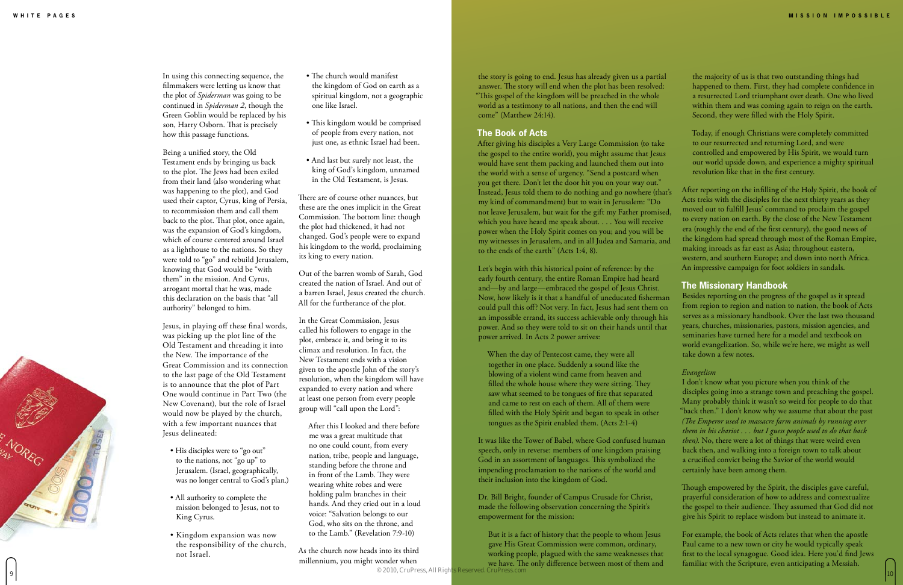In using this connecting sequence, the filmmakers were letting us know that the plot of *Spiderman* was going to be continued in *Spiderman 2*, though the Green Goblin would be replaced by his son, Harry Osborn. That is precisely how this passage functions.

Being a unified story, the Old Testament ends by bringing us back to the plot. The Jews had been exiled from their land (also wondering what was happening to the plot), and God used their captor, Cyrus, king of Persia, to recommission them and call them back to the plot. That plot, once again, was the expansion of God's kingdom, which of course centered around Israel as a lighthouse to the nations. So they were told to "go" and rebuild Jerusalem, knowing that God would be "with them" in the mission. And Cyrus, arrogant mortal that he was, made this declaration on the basis that "all authority" belonged to him.

Jesus, in playing off these final words, was picking up the plot line of the Old Testament and threading it into the New. The importance of the Great Commission and its connection to the last page of the Old Testament is to announce that the plot of Part One would continue in Part Two (the New Covenant), but the role of Israel would now be played by the church, with a few important nuances that Jesus delineated:

- His disciples were to "go out" to the nations, not "go up" to Jerusalem. (Israel, geographically, was no longer central to God's plan.)
- All authority to complete the mission belonged to Jesus, not to King Cyrus.
- Kingdom expansion was now the responsibility of the church, not Israel.
- The church would manifest the kingdom of God on earth as a spiritual kingdom, not a geographic one like Israel.
- This kingdom would be comprised of people from every nation, not just one, as ethnic Israel had been.
- And last but surely not least, the king of God's kingdom, unnamed in the Old Testament, is Jesus.

There are of course other nuances, but these are the ones implicit in the Great Commission. The bottom line: though the plot had thickened, it had not changed. God's people were to expand his kingdom to the world, proclaiming its king to every nation.

Out of the barren womb of Sarah, God created the nation of Israel. And out of a barren Israel, Jesus created the church. All for the furtherance of the plot.

In the Great Commission, Jesus called his followers to engage in the plot, embrace it, and bring it to its climax and resolution. In fact, the New Testament ends with a vision given to the apostle John of the story's resolution, when the kingdom will have expanded to every nation and where at least one person from every people group will "call upon the Lord":

After this I looked and there before me was a great multitude that no one could count, from every nation, tribe, people and language, standing before the throne and in front of the Lamb. They were wearing white robes and were holding palm branches in their hands. And they cried out in a loud voice: "Salvation belongs to our God, who sits on the throne, and to the Lamb." (Revelation 7:9-10)

As the church now heads into its third millennium, you might wonder when

#### **The Book of Acts**

Let's begin with this historical point of reference: by the early fourth century, the entire Roman Empire had heard and—by and large—embraced the gospel of Jesus Christ. Now, how likely is it that a handful of uneducated fisherman could pull this off? Not very. In fact, Jesus had sent them on an impossible errand, its success achievable only through his power. And so they were told to sit on their hands until that power arrived. In Acts 2 power arrives:

the story is going to end. Jesus has already given us a partial answer. The story will end when the plot has been resolved: "This gospel of the kingdom will be preached in the whole world as a testimony to all nations, and then the end will come" (Matthew 24:14). the majority of us is that two outstanding things had happened to them. First, they had complete confidence in a resurrected Lord triumphant over death. One who lived within them and was coming again to reign on the earth. Second, they were filled with the Holy Spirit.

When the day of Pentecost came, they were all together in one place. Suddenly a sound like the blowing of a violent wind came from heaven and filled the whole house where they were sitting. They saw what seemed to be tongues of fire that separated and came to rest on each of them. All of them were filled with the Holy Spirit and began to speak in other tongues as the Spirit enabled them. (Acts 2:1-4)

After giving his disciples a Very Large Commission (to take the gospel to the entire world), you might assume that Jesus would have sent them packing and launched them out into the world with a sense of urgency. "Send a postcard when you get there. Don't let the door hit you on your way out." Instead, Jesus told them to do nothing and go nowhere (that's my kind of commandment) but to wait in Jerusalem: "Do not leave Jerusalem, but wait for the gift my Father promised, which you have heard me speak about. . . . You will receive power when the Holy Spirit comes on you; and you will be my witnesses in Jerusalem, and in all Judea and Samaria, and to the ends of the earth" (Acts 1:4, 8). controlled and empowered by His Spirit, we would turn our world upside down, and experience a mighty spiritual revolution like that in the first century. After reporting on the infilling of the Holy Spirit, the book of Acts treks with the disciples for the next thirty years as they moved out to fulfill Jesus' command to proclaim the gospel to every nation on earth. By the close of the New Testament era (roughly the end of the first century), the good news of the kingdom had spread through most of the Roman Empire, making inroads as far east as Asia; throughout eastern, western, and southern Europe; and down into north Africa. An impressive campaign for foot soldiers in sandals.

It was like the Tower of Babel, where God confused human speech, only in reverse: members of one kingdom praising God in an assortment of languages. This symbolized the impending proclamation to the nations of the world and their inclusion into the kingdom of God.

Dr. Bill Bright, founder of Campus Crusade for Christ, made the following observation concerning the Spirit's empowerment for the mission:

Today, if enough Christians were completely committed to our resurrected and returning Lord, and were

#### **The Missionary Handbook**

But it is a fact of history that the people to whom Jesus gave His Great Commission were common, ordinary, working people, plagued with the same weaknesses that we have. The only difference between most of them and  $\approx$  2010, CHILLESS, AND Argular Reserved. CTILLESS, COLLECTIVE CONTROLLED TO  $10$ © 2010, CruPress, All Rights Reserved. CruPress.com



Besides reporting on the progress of the gospel as it spread from region to region and nation to nation, the book of Acts serves as a missionary handbook. Over the last two thousand years, churches, missionaries, pastors, mission agencies, and seminaries have turned here for a model and textbook on world evangelization. So, while we're here, we might as well take down a few notes.

#### *Evangelism*

I don't know what you picture when you think of the disciples going into a strange town and preaching the gospel. Many probably think it wasn't so weird for people to do that "back then." I don't know why we assume that about the past *(The Emperor used to massacre farm animals by running over them in his chariot . . . but I guess people used to do that back then)*. No, there were a lot of things that were weird even back then, and walking into a foreign town to talk about a crucified convict being the Savior of the world would certainly have been among them.

Though empowered by the Spirit, the disciples gave careful, prayerful consideration of how to address and contextualize the gospel to their audience. They assumed that God did not give his Spirit to replace wisdom but instead to animate it.

For example, the book of Acts relates that when the apostle Paul came to a new town or city he would typically speak first to the local synagogue. Good idea. Here you'd find Jews familiar with the Scripture, even anticipating a Messiah.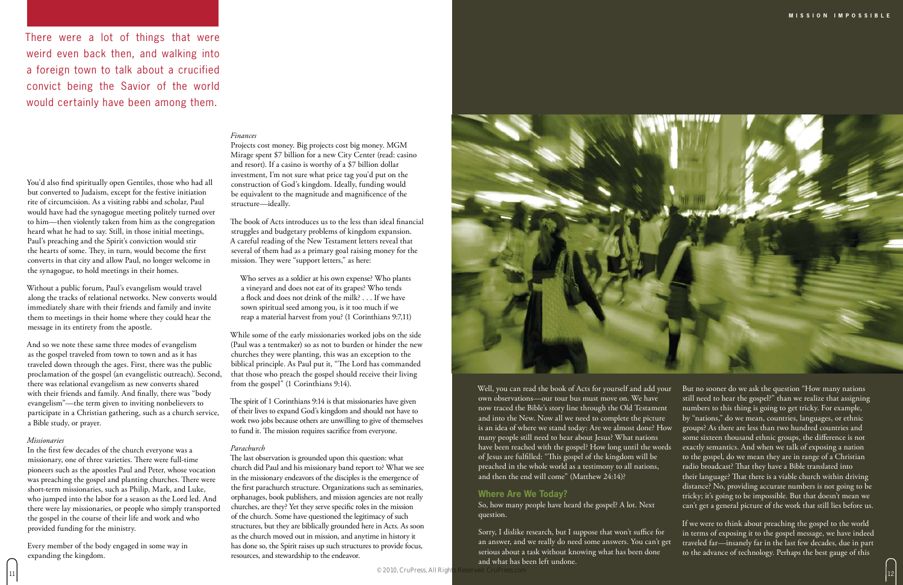#### *Finances*

Projects cost money. Big projects cost big money. MGM Mirage spent \$7 billion for a new City Center (read: casino and resort). If a casino is worthy of a \$7 billion dollar investment, I'm not sure what price tag you'd put on the construction of God's kingdom. Ideally, funding would be equivalent to the magnitude and magnificence of the structure—ideally.

The book of Acts introduces us to the less than ideal financial struggles and budgetary problems of kingdom expansion. A careful reading of the New Testament letters reveal that several of them had as a primary goal raising money for the mission. They were "support letters," as here:

Who serves as a soldier at his own expense? Who plants a vineyard and does not eat of its grapes? Who tends a flock and does not drink of the milk? . . . If we have sown spiritual seed among you, is it too much if we reap a material harvest from you? (1 Corinthians 9:7,11)

While some of the early missionaries worked jobs on the side (Paul was a tentmaker) so as not to burden or hinder the new churches they were planting, this was an exception to the biblical principle. As Paul put it, "The Lord has commanded that those who preach the gospel should receive their living from the gospel" (1 Corinthians 9:14).

The spirit of 1 Corinthians 9:14 is that missionaries have given of their lives to expand God's kingdom and should not have to work two jobs because others are unwilling to give of themselves to fund it. The mission requires sacrifice from everyone.

#### *Parachurch*

The last observation is grounded upon this question: what church did Paul and his missionary band report to? What we see in the missionary endeavors of the disciples is the emergence of the first parachurch structure. Organizations such as seminaries, orphanages, book publishers, and mission agencies are not really churches, are they? Yet they serve specific roles in the mission of the church. Some have questioned the legitimacy of such structures, but they are biblically grounded here in Acts. As soon as the church moved out in mission, and anytime in history it has done so, the Spirit raises up such structures to provide focus, resources, and stewardship to the endeavor.



#### You'd also find spiritually open Gentiles, those who had all but converted to Judaism, except for the festive initiation rite of circumcision. As a visiting rabbi and scholar, Paul would have had the synagogue meeting politely turned over to him—then violently taken from him as the congregation heard what he had to say. Still, in those initial meetings, Paul's preaching and the Spirit's conviction would stir the hearts of some. They, in turn, would become the first converts in that city and allow Paul, no longer welcome in the synagogue, to hold meetings in their homes.

Without a public forum, Paul's evangelism would travel along the tracks of relational networks. New converts would immediately share with their friends and family and invite them to meetings in their home where they could hear the message in its entirety from the apostle.

And so we note these same three modes of evangelism as the gospel traveled from town to town and as it has traveled down through the ages. First, there was the public proclamation of the gospel (an evangelistic outreach). Second, there was relational evangelism as new converts shared with their friends and family. And finally, there was "body evangelism"—the term given to inviting nonbelievers to participate in a Christian gathering, such as a church service, a Bible study, or prayer.

#### *Missionaries*

In the first few decades of the church everyone was a missionary, one of three varieties. There were full-time pioneers such as the apostles Paul and Peter, whose vocation was preaching the gospel and planting churches. There were short-term missionaries, such as Philip, Mark, and Luke, who jumped into the labor for a season as the Lord led. And there were lay missionaries, or people who simply transported the gospel in the course of their life and work and who provided funding for the ministry.

Every member of the body engaged in some way in expanding the kingdom.

question.

Sorry, I dislike research, but I suppose that won't suffice for an answer, and we really do need some answers. You can't get serious about a task without knowing what has been done and what has been left undone.

Well, you can read the book of Acts for yourself and add your own observations—our tour bus must move on. We have now traced the Bible's story line through the Old Testament and into the New. Now all we need to complete the picture is an idea of where we stand today: Are we almost done? How many people still need to hear about Jesus? What nations have been reached with the gospel? How long until the words of Jesus are fulfilled: "This gospel of the kingdom will be preached in the whole world as a testimony to all nations, and then the end will come" (Matthew 24:14)? **Where Are We Today?** So, how many people have heard the gospel? A lot. Next But no sooner do we ask the question "How many nations still need to hear the gospel?" than we realize that assigning numbers to this thing is going to get tricky. For example, by "nations," do we mean, countries, languages, or ethnic groups? As there are less than two hundred countries and some sixteen thousand ethnic groups, the difference is not exactly semantics. And when we talk of exposing a nation to the gospel, do we mean they are in range of a Christian radio broadcast? That they have a Bible translated into their language? That there is a viable church within driving distance? No, providing accurate numbers is not going to be tricky; it's going to be impossible. But that doesn't mean we can't get a general picture of the work that still lies before us.

If we were to think about preaching the gospel to the world in terms of exposing it to the gospel message, we have indeed traveled far—insanely far in the last few decades, due in part to the advance of technology. Perhaps the best gauge of this

There were a lot of things that were weird even back then, and walking into a foreign town to talk about a crucified convict being the Savior of the world would certainly have been among them.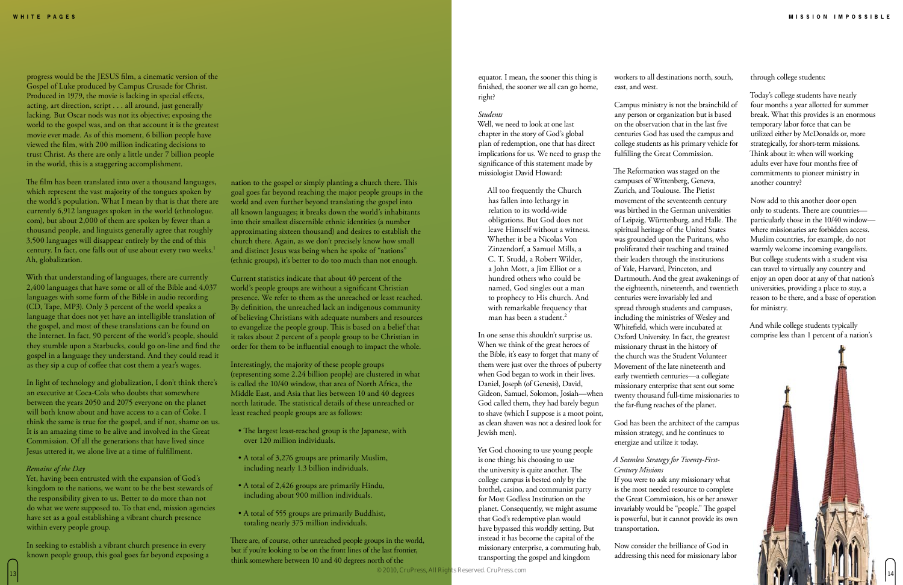#### nation to the gospel or simply planting a church there. This goal goes far beyond reaching the major people groups in the world and even further beyond translating the gospel into all known languages; it breaks down the world's inhabitants into their smallest discernible ethnic identities (a number approximating sixteen thousand) and desires to establish the church there. Again, as we don't precisely know how small and distinct Jesus was being when he spoke of "nations" (ethnic groups), it's better to do too much than not enough.

Current statistics indicate that about 40 percent of the world's people groups are without a significant Christian presence. We refer to them as the unreached or least reached. By definition, the unreached lack an indigenous community of believing Christians with adequate numbers and resources to evangelize the people group. This is based on a belief that it takes about 2 percent of a people group to be Christian in order for them to be influential enough to impact the whole.

All too frequently the Church has fallen into lethargy in relation to its world-wide obligations. But God does not leave Himself without a witness. Whether it be a Nicolas Von Zinzendorf, a Samuel Mills, a C. T. Studd, a Robert Wilder, a John Mott, a Jim Elliot or a hundred others who could be named, God singles out a man to prophecy to His church. And with remarkable frequency that man has been a student.<sup>2</sup>

Interestingly, the majority of these people groups (representing some 2.24 billion people) are clustered in what is called the 10/40 window, that area of North Africa, the Middle East, and Asia that lies between 10 and 40 degrees north latitude. The statistical details of these unreached or least reached people groups are as follows:

- The largest least-reached group is the Japanese, with over 120 million individuals.
- A total of 3,276 groups are primarily Muslim, including nearly 1.3 billion individuals.
- A total of 2,426 groups are primarily Hindu, including about 900 million individuals.
- A total of 555 groups are primarily Buddhist, totaling nearly 375 million individuals.

There are, of course, other unreached people groups in the world, but if you're looking to be on the front lines of the last frontier, think somewhere between 10 and 40 degrees north of the

equator. I mean, the sooner this thing is finished, the sooner we all can go home,

right?

*Students*

Well, we need to look at one last chapter in the story of God's global plan of redemption, one that has direct implications for us. We need to grasp the significance of this statement made by

missiologist David Howard:

In one sense this shouldn't surprise us. When we think of the great heroes of the Bible, it's easy to forget that many of them were just over the throes of puberty when God began to work in their lives. Daniel, Joseph (of Genesis), David, Gideon, Samuel, Solomon, Josiah—when God called them, they had barely begun to shave (which I suppose is a moot point, as clean shaven was not a desired look for Jewish men).

Yet God choosing to use young people is one thing; his choosing to use the university is quite another. The college campus is bested only by the brothel, casino, and communist party for Most Godless Institution on the planet. Consequently, we might assume that God's redemptive plan would have bypassed this worldly setting. But instead it has become the capital of the missionary enterprise, a commuting hub, transporting the gospel and kingdom

workers to all destinations north, south, east, and west.

Campus ministry is not the brainchild of any person or organization but is based on the observation that in the last five centuries God has used the campus and college students as his primary vehicle for fulfilling the Great Commission.

The Reformation was staged on the campuses of Wittenberg, Geneva, Zurich, and Toulouse. The Pietist movement of the seventeenth century was birthed in the German universities of Leipzig, Württenburg, and Halle. The spiritual heritage of the United States was grounded upon the Puritans, who proliferated their teaching and trained their leaders through the institutions of Yale, Harvard, Princeton, and Dartmouth. And the great awakenings of the eighteenth, nineteenth, and twentieth centuries were invariably led and spread through students and campuses, including the ministries of Wesley and Whitefield, which were incubated at Oxford University. In fact, the greatest missionary thrust in the history of the church was the Student Volunteer Movement of the late nineteenth and early twentieth centuries—a collegiate missionary enterprise that sent out some twenty thousand full-time missionaries to the far-flung reaches of the planet.

God has been the architect of the campus mission strategy, and he continues to energize and utilize it today.

*A Seamless Strategy for Twenty-First-Century Missions* If you were to ask any missionary what is the most needed resource to complete the Great Commission, his or her answer invariably would be "people." The gospel is powerful, but it cannot provide its own transportation.

Now consider the brilliance of God in addressing this need for missionary labor

13

progress would be the JESUS film, a cinematic version of the Gospel of Luke produced by Campus Crusade for Christ. Produced in 1979, the movie is lacking in special effects, acting, art direction, script . . . all around, just generally lacking. But Oscar nods was not its objective; exposing the world to the gospel was, and on that account it is the greatest movie ever made. As of this moment, 6 billion people have viewed the film, with 200 million indicating decisions to trust Christ. As there are only a little under 7 billion people in the world, this is a staggering accomplishment.

The film has been translated into over a thousand languages, which represent the vast majority of the tongues spoken by the world's population. What I mean by that is that there are currently 6,912 languages spoken in the world (ethnologue. com), but about 2,000 of them are spoken by fewer than a thousand people, and linguists generally agree that roughly 3,500 languages will disappear entirely by the end of this century. In fact, one falls out of use about every two weeks.<sup>1</sup> Ah, globalization.

With that understanding of languages, there are currently 2,400 languages that have some or all of the Bible and 4,037 languages with some form of the Bible in audio recording (CD, Tape, MP3). Only 3 percent of the world speaks a language that does not yet have an intelligible translation of the gospel, and most of these translations can be found on the Internet. In fact, 90 percent of the world's people, should they stumble upon a Starbucks, could go on-line and find the gospel in a language they understand. And they could read it as they sip a cup of coffee that cost them a year's wages.

In light of technology and globalization, I don't think there's an executive at Coca-Cola who doubts that somewhere between the years 2050 and 2075 everyone on the planet will both know about and have access to a can of Coke. I think the same is true for the gospel, and if not, shame on us. It is an amazing time to be alive and involved in the Great Commission. Of all the generations that have lived since Jesus uttered it, we alone live at a time of fulfillment.

#### *Remains of the Day*

Yet, having been entrusted with the expansion of God's kingdom to the nations, we want to be the best stewards of the responsibility given to us. Better to do more than not do what we were supposed to. To that end, mission agencies have set as a goal establishing a vibrant church presence within every people group.

In seeking to establish a vibrant church presence in every known people group, this goal goes far beyond exposing a through college students:

Today's college students have nearly four months a year allotted for summer break. What this provides is an enormous temporary labor force that can be utilized either by McDonalds or, more strategically, for short-term missions. Think about it: when will working adults ever have four months free of commitments to pioneer ministry in another country?

Now add to this another door open only to students. There are countries particularly those in the 10/40 window where missionaries are forbidden access. Muslim countries, for example, do not warmly welcome incoming evangelists. But college students with a student visa can travel to virtually any country and enjoy an open door at any of that nation's universities, providing a place to stay, a reason to be there, and a base of operation for ministry.

And while college students typically comprise less than 1 percent of a nation's